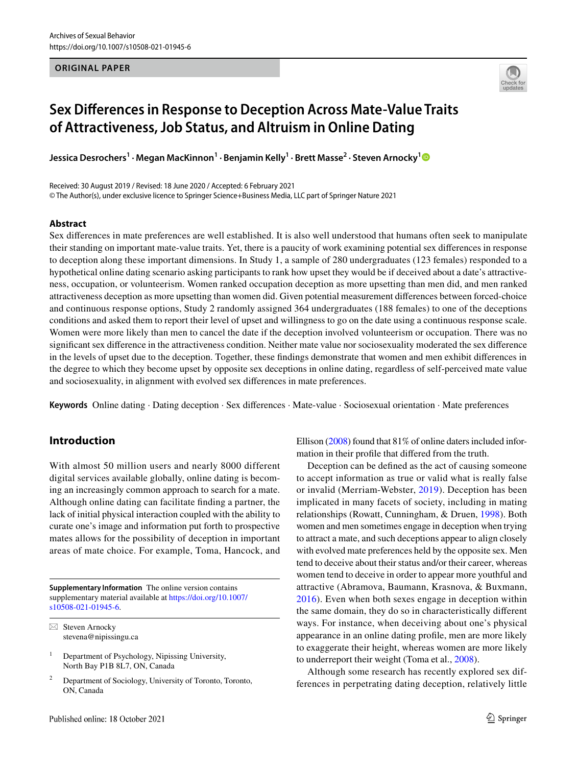### **ORIGINAL PAPER**



# **Sex Differences in Response to Deception Across Mate‑Value Traits of Attractiveness, Job Status, and Altruism in Online Dating**

**Jessica Desrochers<sup>1</sup> · Megan MacKinnon<sup>1</sup> · Benjamin Kelly<sup>1</sup> · Brett Masse<sup>2</sup> · Steven Arnocky[1](http://orcid.org/0000-0003-3812-1871)**

Received: 30 August 2019 / Revised: 18 June 2020 / Accepted: 6 February 2021 © The Author(s), under exclusive licence to Springer Science+Business Media, LLC part of Springer Nature 2021

### **Abstract**

Sex differences in mate preferences are well established. It is also well understood that humans often seek to manipulate their standing on important mate-value traits. Yet, there is a paucity of work examining potential sex differences in response to deception along these important dimensions. In Study 1, a sample of 280 undergraduates (123 females) responded to a hypothetical online dating scenario asking participants to rank how upset they would be if deceived about a date's attractiveness, occupation, or volunteerism. Women ranked occupation deception as more upsetting than men did, and men ranked attractiveness deception as more upsetting than women did. Given potential measurement differences between forced-choice and continuous response options, Study 2 randomly assigned 364 undergraduates (188 females) to one of the deceptions conditions and asked them to report their level of upset and willingness to go on the date using a continuous response scale. Women were more likely than men to cancel the date if the deception involved volunteerism or occupation. There was no significant sex difference in the attractiveness condition. Neither mate value nor sociosexuality moderated the sex difference in the levels of upset due to the deception. Together, these findings demonstrate that women and men exhibit differences in the degree to which they become upset by opposite sex deceptions in online dating, regardless of self-perceived mate value and sociosexuality, in alignment with evolved sex differences in mate preferences.

**Keywords** Online dating · Dating deception · Sex differences · Mate-value · Sociosexual orientation · Mate preferences

## **Introduction**

With almost 50 million users and nearly 8000 different digital services available globally, online dating is becoming an increasingly common approach to search for a mate. Although online dating can facilitate finding a partner, the lack of initial physical interaction coupled with the ability to curate one's image and information put forth to prospective mates allows for the possibility of deception in important areas of mate choice. For example, Toma, Hancock, and

**Supplementary Information** The online version contains supplementary material available at https://doi.org/10.1007/ s10508-021-01945-6.

 $\boxtimes$  Steven Arnocky stevena@nipissingu.ca

1 Department of Psychology, Nipissing University, North Bay P1B 8L7, ON, Canada

2 Department of Sociology, University of Toronto, Toronto, ON, Canada

Ellison [\(2008](#page-10-0)) found that 81% of online daters included information in their profile that differed from the truth.

Deception can be defined as the act of causing someone to accept information as true or valid what is really false or invalid (Merriam-Webster, [2019](#page-9-0)). Deception has been implicated in many facets of society, including in mating relationships (Rowatt, Cunningham, & Druen, [1998](#page-9-1)). Both women and men sometimes engage in deception when trying to attract a mate, and such deceptions appear to align closely with evolved mate preferences held by the opposite sex. Men tend to deceive about their status and/or their career, whereas women tend to deceive in order to appear more youthful and attractive (Abramova, Baumann, Krasnova, & Buxmann, [2016](#page-8-0)). Even when both sexes engage in deception within the same domain, they do so in characteristically different ways. For instance, when deceiving about one's physical appearance in an online dating profile, men are more likely to exaggerate their height, whereas women are more likely to underreport their weight (Toma et al., [2008](#page-10-0)).

Although some research has recently explored sex differences in perpetrating dating deception, relatively little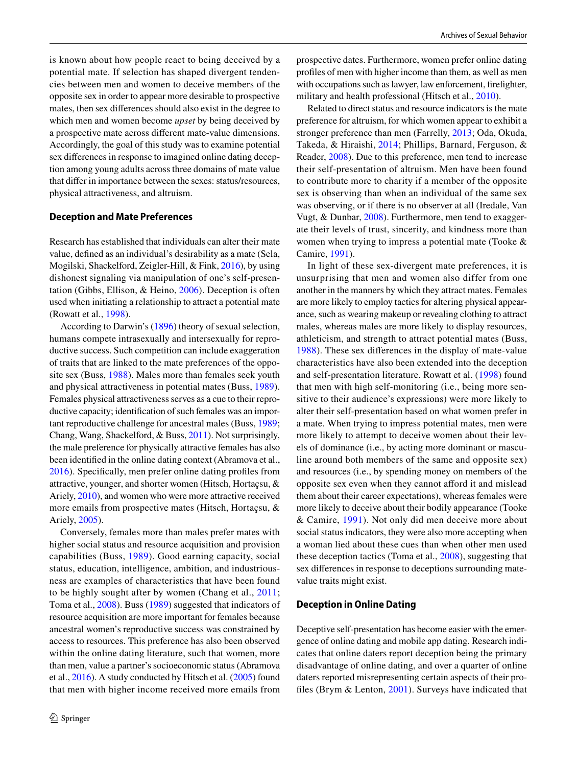is known about how people react to being deceived by a potential mate. If selection has shaped divergent tendencies between men and women to deceive members of the opposite sex in order to appear more desirable to prospective mates, then sex differences should also exist in the degree to which men and women become *upset* by being deceived by a prospective mate across different mate-value dimensions. Accordingly, the goal of this study was to examine potential sex differences in response to imagined online dating deception among young adults across three domains of mate value that differ in importance between the sexes: status/resources, physical attractiveness, and altruism.

#### **Deception and Mate Preferences**

Research has established that individuals can alter their mate value, defined as an individual's desirability as a mate (Sela, Mogilski, Shackelford, Zeigler-Hill, & Fink, [2016](#page-9-2)), by using dishonest signaling via manipulation of one's self-presentation (Gibbs, Ellison, & Heino, [2006](#page-9-3)). Deception is often used when initiating a relationship to attract a potential mate (Rowatt et al., [1998](#page-9-1)).

According to Darwin's ([1896](#page-9-4)) theory of sexual selection, humans compete intrasexually and intersexually for reproductive success. Such competition can include exaggeration of traits that are linked to the mate preferences of the opposite sex (Buss, [1988](#page-9-5)). Males more than females seek youth and physical attractiveness in potential mates (Buss, [1989](#page-9-6)). Females physical attractiveness serves as a cue to their reproductive capacity; identification of such females was an important reproductive challenge for ancestral males (Buss, [1989](#page-9-6); Chang, Wang, Shackelford, & Buss, [2011\)](#page-9-7). Not surprisingly, the male preference for physically attractive females has also been identified in the online dating context (Abramova et al., [2016\)](#page-8-0). Specifically, men prefer online dating profiles from attractive, younger, and shorter women (Hitsch, Hortaçsu, & Ariely, [2010](#page-9-8)), and women who were more attractive received more emails from prospective mates (Hitsch, Hortaçsu, & Ariely, [2005](#page-9-9)).

Conversely, females more than males prefer mates with higher social status and resource acquisition and provision capabilities (Buss, [1989\)](#page-9-6). Good earning capacity, social status, education, intelligence, ambition, and industriousness are examples of characteristics that have been found to be highly sought after by women (Chang et al., [2011](#page-9-7); Toma et al., [2008\)](#page-10-0). Buss ([1989\)](#page-9-6) suggested that indicators of resource acquisition are more important for females because ancestral women's reproductive success was constrained by access to resources. This preference has also been observed within the online dating literature, such that women, more than men, value a partner's socioeconomic status (Abramova et al., [2016](#page-8-0)). A study conducted by Hitsch et al. ([2005\)](#page-9-9) found that men with higher income received more emails from prospective dates. Furthermore, women prefer online dating profiles of men with higher income than them, as well as men with occupations such as lawyer, law enforcement, firefighter, military and health professional (Hitsch et al., [2010\)](#page-9-8).

Related to direct status and resource indicators is the mate preference for altruism, for which women appear to exhibit a stronger preference than men (Farrelly, [2013](#page-9-10); Oda, Okuda, Takeda, & Hiraishi, [2014](#page-9-11); Phillips, Barnard, Ferguson, & Reader, [2008\)](#page-9-12). Due to this preference, men tend to increase their self-presentation of altruism. Men have been found to contribute more to charity if a member of the opposite sex is observing than when an individual of the same sex was observing, or if there is no observer at all (Iredale, Van Vugt, & Dunbar, [2008\)](#page-9-13). Furthermore, men tend to exaggerate their levels of trust, sincerity, and kindness more than women when trying to impress a potential mate (Tooke & Camire, [1991\)](#page-10-1).

In light of these sex-divergent mate preferences, it is unsurprising that men and women also differ from one another in the manners by which they attract mates. Females are more likely to employ tactics for altering physical appearance, such as wearing makeup or revealing clothing to attract males, whereas males are more likely to display resources, athleticism, and strength to attract potential mates (Buss, [1988\)](#page-9-5). These sex differences in the display of mate-value characteristics have also been extended into the deception and self-presentation literature. Rowatt et al. [\(1998\)](#page-9-1) found that men with high self-monitoring (i.e., being more sensitive to their audience's expressions) were more likely to alter their self-presentation based on what women prefer in a mate. When trying to impress potential mates, men were more likely to attempt to deceive women about their levels of dominance (i.e., by acting more dominant or masculine around both members of the same and opposite sex) and resources (i.e., by spending money on members of the opposite sex even when they cannot afford it and mislead them about their career expectations), whereas females were more likely to deceive about their bodily appearance (Tooke & Camire, [1991\)](#page-10-1). Not only did men deceive more about social status indicators, they were also more accepting when a woman lied about these cues than when other men used these deception tactics (Toma et al., [2008\)](#page-10-0), suggesting that sex differences in response to deceptions surrounding matevalue traits might exist.

#### **Deception in Online Dating**

Deceptive self-presentation has become easier with the emergence of online dating and mobile app dating. Research indicates that online daters report deception being the primary disadvantage of online dating, and over a quarter of online daters reported misrepresenting certain aspects of their profiles (Brym & Lenton, [2001\)](#page-9-14). Surveys have indicated that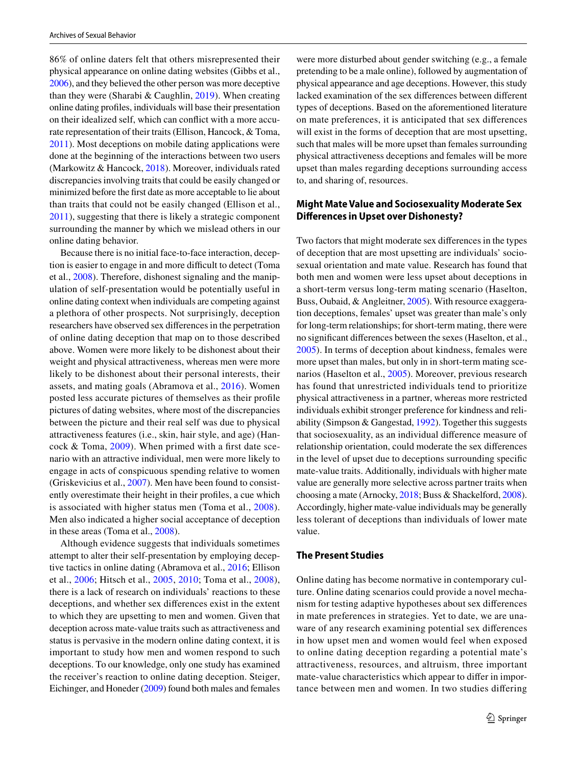86% of online daters felt that others misrepresented their physical appearance on online dating websites (Gibbs et al., [2006\)](#page-9-3), and they believed the other person was more deceptive than they were (Sharabi & Caughlin,  $2019$ ). When creating online dating profiles, individuals will base their presentation on their idealized self, which can conflict with a more accurate representation of their traits (Ellison, Hancock, & Toma, [2011](#page-9-15)). Most deceptions on mobile dating applications were done at the beginning of the interactions between two users (Markowitz & Hancock, [2018](#page-9-16)). Moreover, individuals rated discrepancies involving traits that could be easily changed or minimized before the first date as more acceptable to lie about than traits that could not be easily changed (Ellison et al., [2011](#page-9-15)), suggesting that there is likely a strategic component surrounding the manner by which we mislead others in our online dating behavior.

Because there is no initial face-to-face interaction, deception is easier to engage in and more difficult to detect (Toma et al., [2008\)](#page-10-0). Therefore, dishonest signaling and the manipulation of self-presentation would be potentially useful in online dating context when individuals are competing against a plethora of other prospects. Not surprisingly, deception researchers have observed sex differences in the perpetration of online dating deception that map on to those described above. Women were more likely to be dishonest about their weight and physical attractiveness, whereas men were more likely to be dishonest about their personal interests, their assets, and mating goals (Abramova et al., [2016\)](#page-8-0). Women posted less accurate pictures of themselves as their profile pictures of dating websites, where most of the discrepancies between the picture and their real self was due to physical attractiveness features (i.e., skin, hair style, and age) (Hancock & Toma, [2009\)](#page-9-17). When primed with a first date scenario with an attractive individual, men were more likely to engage in acts of conspicuous spending relative to women (Griskevicius et al., [2007\)](#page-9-18). Men have been found to consistently overestimate their height in their profiles, a cue which is associated with higher status men (Toma et al., [2008](#page-10-0)). Men also indicated a higher social acceptance of deception in these areas (Toma et al., [2008](#page-10-0)).

Although evidence suggests that individuals sometimes attempt to alter their self-presentation by employing deceptive tactics in online dating (Abramova et al., [2016](#page-8-0); Ellison et al., [2006](#page-9-19); Hitsch et al., [2005,](#page-9-9) [2010;](#page-9-8) Toma et al., [2008](#page-10-0)), there is a lack of research on individuals' reactions to these deceptions, and whether sex differences exist in the extent to which they are upsetting to men and women. Given that deception across mate-value traits such as attractiveness and status is pervasive in the modern online dating context, it is important to study how men and women respond to such deceptions. To our knowledge, only one study has examined the receiver's reaction to online dating deception. Steiger, Eichinger, and Honeder ([2009](#page-10-3)) found both males and females

were more disturbed about gender switching (e.g., a female pretending to be a male online), followed by augmentation of physical appearance and age deceptions. However, this study lacked examination of the sex differences between different types of deceptions. Based on the aforementioned literature on mate preferences, it is anticipated that sex differences will exist in the forms of deception that are most upsetting, such that males will be more upset than females surrounding physical attractiveness deceptions and females will be more upset than males regarding deceptions surrounding access to, and sharing of, resources.

## **Might Mate Value and Sociosexuality Moderate Sex Differences in Upset over Dishonesty?**

Two factors that might moderate sex differences in the types of deception that are most upsetting are individuals' sociosexual orientation and mate value. Research has found that both men and women were less upset about deceptions in a short-term versus long-term mating scenario (Haselton, Buss, Oubaid, & Angleitner, [2005](#page-9-20)). With resource exaggeration deceptions, females' upset was greater than male's only for long-term relationships; for short-term mating, there were no significant differences between the sexes (Haselton, et al., [2005\)](#page-9-20). In terms of deception about kindness, females were more upset than males, but only in in short-term mating scenarios (Haselton et al., [2005\)](#page-9-20). Moreover, previous research has found that unrestricted individuals tend to prioritize physical attractiveness in a partner, whereas more restricted individuals exhibit stronger preference for kindness and reliability (Simpson & Gangestad, [1992](#page-10-4)). Together this suggests that sociosexuality, as an individual difference measure of relationship orientation, could moderate the sex differences in the level of upset due to deceptions surrounding specific mate-value traits. Additionally, individuals with higher mate value are generally more selective across partner traits when choosing a mate (Arnocky, [2018](#page-8-1); Buss & Shackelford, [2008](#page-9-21)). Accordingly, higher mate-value individuals may be generally less tolerant of deceptions than individuals of lower mate value.

## **The Present Studies**

Online dating has become normative in contemporary culture. Online dating scenarios could provide a novel mechanism for testing adaptive hypotheses about sex differences in mate preferences in strategies. Yet to date, we are unaware of any research examining potential sex differences in how upset men and women would feel when exposed to online dating deception regarding a potential mate's attractiveness, resources, and altruism, three important mate-value characteristics which appear to differ in importance between men and women. In two studies differing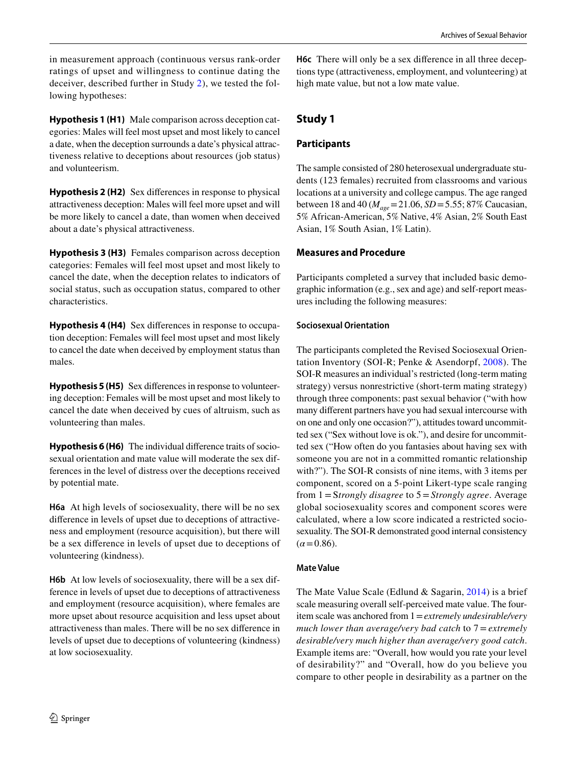in measurement approach (continuous versus rank-order ratings of upset and willingness to continue dating the deceiver, described further in Study [2\)](#page-4-0), we tested the following hypotheses:

**Hypothesis 1 (H1)** Male comparison across deception categories: Males will feel most upset and most likely to cancel a date, when the deception surrounds a date's physical attractiveness relative to deceptions about resources (job status) and volunteerism.

**Hypothesis 2 (H2)** Sex differences in response to physical attractiveness deception: Males will feel more upset and will be more likely to cancel a date, than women when deceived about a date's physical attractiveness.

**Hypothesis 3 (H3)** Females comparison across deception categories: Females will feel most upset and most likely to cancel the date, when the deception relates to indicators of social status, such as occupation status, compared to other characteristics.

**Hypothesis 4 (H4)** Sex differences in response to occupation deception: Females will feel most upset and most likely to cancel the date when deceived by employment status than males.

**Hypothesis 5 (H5)** Sex differences in response to volunteering deception: Females will be most upset and most likely to cancel the date when deceived by cues of altruism, such as volunteering than males.

**Hypothesis 6 (H6)** The individual difference traits of sociosexual orientation and mate value will moderate the sex differences in the level of distress over the deceptions received by potential mate.

**H6a** At high levels of sociosexuality, there will be no sex difference in levels of upset due to deceptions of attractiveness and employment (resource acquisition), but there will be a sex difference in levels of upset due to deceptions of volunteering (kindness).

**H6b** At low levels of sociosexuality, there will be a sex difference in levels of upset due to deceptions of attractiveness and employment (resource acquisition), where females are more upset about resource acquisition and less upset about attractiveness than males. There will be no sex difference in levels of upset due to deceptions of volunteering (kindness) at low sociosexuality.

**H6c** There will only be a sex difference in all three deceptions type (attractiveness, employment, and volunteering) at high mate value, but not a low mate value.

## **Study 1**

## **Participants**

The sample consisted of 280 heterosexual undergraduate students (123 females) recruited from classrooms and various locations at a university and college campus. The age ranged between 18 and 40 (*Mage* = 21.06, *SD* = 5.55; 87% Caucasian, 5% African-American, 5% Native, 4% Asian, 2% South East Asian, 1% South Asian, 1% Latin).

## **Measures and Procedure**

Participants completed a survey that included basic demographic information (e.g., sex and age) and self-report measures including the following measures:

## **Sociosexual Orientation**

The participants completed the Revised Sociosexual Orientation Inventory (SOI-R; Penke & Asendorpf, [2008\)](#page-9-22). The SOI-R measures an individual's restricted (long-term mating strategy) versus nonrestrictive (short-term mating strategy) through three components: past sexual behavior ("with how many different partners have you had sexual intercourse with on one and only one occasion?"), attitudes toward uncommitted sex ("Sex without love is ok."), and desire for uncommitted sex ("How often do you fantasies about having sex with someone you are not in a committed romantic relationship with?"). The SOI-R consists of nine items, with 3 items per component, scored on a 5-point Likert-type scale ranging from 1 = S*trongly disagree* to 5 = *Strongly agree*. Average global sociosexuality scores and component scores were calculated, where a low score indicated a restricted sociosexuality. The SOI-R demonstrated good internal consistency  $(\alpha = 0.86)$ .

## **Mate Value**

The Mate Value Scale (Edlund & Sagarin, [2014](#page-9-23)) is a brief scale measuring overall self-perceived mate value. The fouritem scale was anchored from 1 = *extremely undesirable/very much lower than average/very bad catch* to 7 = *extremely desirable/very much higher than average/very good catch*. Example items are: "Overall, how would you rate your level of desirability?" and "Overall, how do you believe you compare to other people in desirability as a partner on the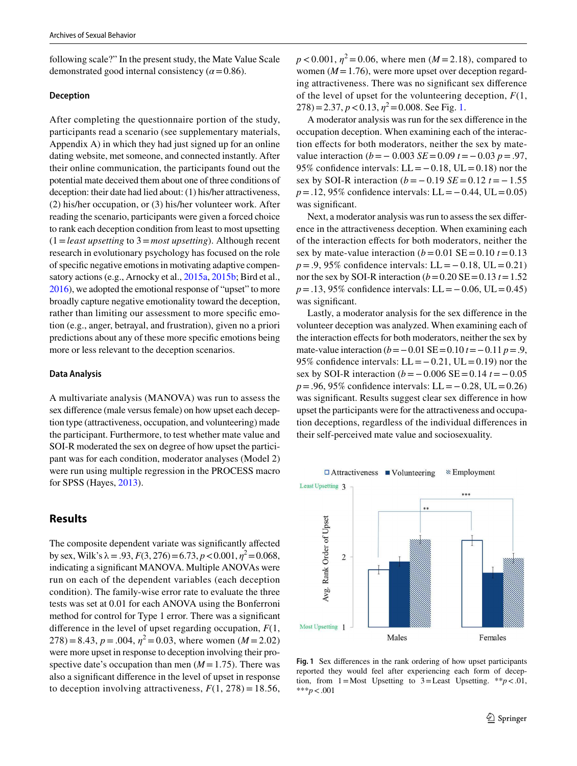following scale?" In the present study, the Mate Value Scale demonstrated good internal consistency  $(\alpha = 0.86)$ .

#### **Deception**

After completing the questionnaire portion of the study, participants read a scenario (see supplementary materials, Appendix A) in which they had just signed up for an online dating website, met someone, and connected instantly. After their online communication, the participants found out the potential mate deceived them about one of three conditions of deception: their date had lied about: (1) his/her attractiveness, (2) his/her occupation, or (3) his/her volunteer work. After reading the scenario, participants were given a forced choice to rank each deception condition from least to most upsetting (1 = *least upsetting* to 3 = *most upsetting*). Although recent research in evolutionary psychology has focused on the role of specific negative emotions in motivating adaptive compensatory actions (e.g., Arnocky et al., [2015a](#page-8-2), [2015b;](#page-8-3) Bird et al., [2016\)](#page-9-24), we adopted the emotional response of "upset" to more broadly capture negative emotionality toward the deception, rather than limiting our assessment to more specific emotion (e.g., anger, betrayal, and frustration), given no a priori predictions about any of these more specific emotions being more or less relevant to the deception scenarios.

#### **Data Analysis**

A multivariate analysis (MANOVA) was run to assess the sex difference (male versus female) on how upset each deception type (attractiveness, occupation, and volunteering) made the participant. Furthermore, to test whether mate value and SOI-R moderated the sex on degree of how upset the participant was for each condition, moderator analyses (Model 2) were run using multiple regression in the PROCESS macro for SPSS (Hayes, [2013](#page-9-25)).

## <span id="page-4-0"></span>**Results**

The composite dependent variate was significantly affected by sex, Wilk's  $\lambda = .93$ ,  $F(3, 276) = 6.73$ ,  $p < 0.001$ ,  $\eta^2 = 0.068$ , indicating a significant MANOVA. Multiple ANOVAs were run on each of the dependent variables (each deception condition). The family-wise error rate to evaluate the three tests was set at 0.01 for each ANOVA using the Bonferroni method for control for Type 1 error. There was a significant difference in the level of upset regarding occupation, *F*(1,  $278 = 8.43, p = .004, \eta^2 = 0.03$ , where women ( $M = 2.02$ ) were more upset in response to deception involving their prospective date's occupation than men  $(M = 1.75)$ . There was also a significant difference in the level of upset in response to deception involving attractiveness,  $F(1, 278) = 18.56$ ,

 $p < 0.001$ ,  $\eta^2 = 0.06$ , where men (*M* = 2.18), compared to women  $(M=1.76)$ , were more upset over deception regarding attractiveness. There was no significant sex difference of the level of upset for the volunteering deception, *F*(1,  $278 = 2.37, p < 0.13, \eta^2 = 0.008$ . See Fig. [1.](#page-4-1)

A moderator analysis was run for the sex difference in the occupation deception. When examining each of the interaction effects for both moderators, neither the sex by matevalue interaction  $(b = -0.003 \text{ } \text{SE} = 0.09 \text{ } t = -0.03 \text{ } p = .97$ , 95% confidence intervals:  $LL = -0.18$ ,  $UL = 0.18$ ) nor the sex by SOI-R interaction  $(b = -0.19 \text{ } SE = 0.12 \text{ } t = -1.55$ *p* = .12, 95% confidence intervals: LL = −0.44, UL = 0.05) was significant.

Next, a moderator analysis was run to assess the sex difference in the attractiveness deception. When examining each of the interaction effects for both moderators, neither the sex by mate-value interaction  $(b=0.01 \text{ SE} = 0.10 t = 0.13$ *p* = .9, 95% confidence intervals: LL = −0.18, UL = 0.21) nor the sex by SOI-R interaction  $(b=0.20 \text{ SE} = 0.13 t = 1.52$ *p* = .13, 95% confidence intervals: LL = − 0.06, UL = 0.45) was significant.

Lastly, a moderator analysis for the sex difference in the volunteer deception was analyzed. When examining each of the interaction effects for both moderators, neither the sex by mate-value interaction  $(b = -0.01 \text{ SE} = 0.10 t = -0.11 p = .9,$ 95% confidence intervals:  $LL = -0.21$ ,  $UL = 0.19$ ) nor the sex by SOI-R interaction (*b* = − 0.006 SE = 0.14 *t* = − 0.05 *p* = .96, 95% confidence intervals: LL = − 0.28, UL = 0.26) was significant. Results suggest clear sex difference in how upset the participants were for the attractiveness and occupation deceptions, regardless of the individual differences in their self-perceived mate value and sociosexuality.



<span id="page-4-1"></span>**Fig. 1** Sex differences in the rank ordering of how upset participants reported they would feel after experiencing each form of deception, from  $1 = Most$  Upsetting to  $3 = Least$  Upsetting. \*\* $p < .01$ , \*\*\**p* < .001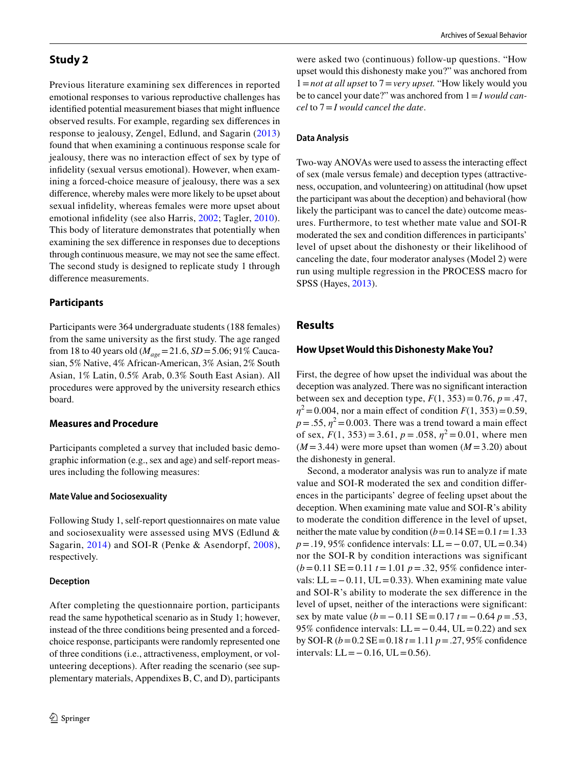## **Study 2**

Previous literature examining sex differences in reported emotional responses to various reproductive challenges has identified potential measurement biases that might influence observed results. For example, regarding sex differences in response to jealousy, Zengel, Edlund, and Sagarin ([2013\)](#page-10-5) found that when examining a continuous response scale for jealousy, there was no interaction effect of sex by type of infidelity (sexual versus emotional). However, when examining a forced-choice measure of jealousy, there was a sex difference, whereby males were more likely to be upset about sexual infidelity, whereas females were more upset about emotional infidelity (see also Harris, [2002;](#page-9-26) Tagler, [2010](#page-10-6)). This body of literature demonstrates that potentially when examining the sex difference in responses due to deceptions through continuous measure, we may not see the same effect. The second study is designed to replicate study 1 through difference measurements.

## **Participants**

Participants were 364 undergraduate students (188 females) from the same university as the first study. The age ranged from 18 to 40 years old (*Mage* = 21.6, *SD* = 5.06; 91% Caucasian, 5% Native, 4% African-American, 3% Asian, 2% South Asian, 1% Latin, 0.5% Arab, 0.3% South East Asian). All procedures were approved by the university research ethics board.

## **Measures and Procedure**

Participants completed a survey that included basic demographic information (e.g., sex and age) and self-report measures including the following measures:

### **Mate Value and Sociosexuality**

Following Study 1, self-report questionnaires on mate value and sociosexuality were assessed using MVS (Edlund & Sagarin, [2014](#page-9-23)) and SOI-R (Penke & Asendorpf, [2008](#page-9-22)), respectively.

### **Deception**

After completing the questionnaire portion, participants read the same hypothetical scenario as in Study 1; however, instead of the three conditions being presented and a forcedchoice response, participants were randomly represented one of three conditions (i.e., attractiveness, employment, or volunteering deceptions). After reading the scenario (see supplementary materials, Appendixes B, C, and D), participants

were asked two (continuous) follow-up questions. "How upset would this dishonesty make you?" was anchored from 1 = *not at all upset* to 7 = *very upset.* "How likely would you be to cancel your date?" was anchored from 1 = *I would cancel* to 7 = *I would cancel the date*.

## **Data Analysis**

Two-way ANOVAs were used to assess the interacting effect of sex (male versus female) and deception types (attractiveness, occupation, and volunteering) on attitudinal (how upset the participant was about the deception) and behavioral (how likely the participant was to cancel the date) outcome measures. Furthermore, to test whether mate value and SOI-R moderated the sex and condition differences in participants' level of upset about the dishonesty or their likelihood of canceling the date, four moderator analyses (Model 2) were run using multiple regression in the PROCESS macro for SPSS (Hayes, [2013\)](#page-9-25).

## **Results**

### **How Upset Would this Dishonesty Make You?**

First, the degree of how upset the individual was about the deception was analyzed. There was no significant interaction between sex and deception type,  $F(1, 353) = 0.76$ ,  $p = .47$ ,  $\eta^2 = 0.004$ , nor a main effect of condition *F*(1, 353) = 0.59,  $p = .55$ ,  $\eta^2 = 0.003$ . There was a trend toward a main effect of sex,  $F(1, 353) = 3.61$ ,  $p = .058$ ,  $\eta^2 = 0.01$ , where men  $(M=3.44)$  were more upset than women  $(M=3.20)$  about the dishonesty in general.

Second, a moderator analysis was run to analyze if mate value and SOI-R moderated the sex and condition differences in the participants' degree of feeling upset about the deception. When examining mate value and SOI-R's ability to moderate the condition difference in the level of upset, neither the mate value by condition  $(b=0.14$  SE = 0.1  $t=1.33$ *p* = .19, 95% confidence intervals: LL = −0.07, UL = 0.34) nor the SOI-R by condition interactions was significant  $(b=0.11 \text{ SE} = 0.11 t = 1.01 p = .32, 95\%$  confidence intervals:  $LL = -0.11$ ,  $UL = 0.33$ ). When examining mate value and SOI-R's ability to moderate the sex difference in the level of upset, neither of the interactions were significant: sex by mate value  $(b = -0.11 \text{ SE} = 0.17 t = -0.64 p = .53$ , 95% confidence intervals:  $LL = -0.44$ ,  $UL = 0.22$ ) and sex by SOI-R (*b* = 0.2 SE = 0.18 *t* = 1.11 *p* = .27, 95% confidence intervals:  $LL = -0.16$ ,  $UL = 0.56$ ).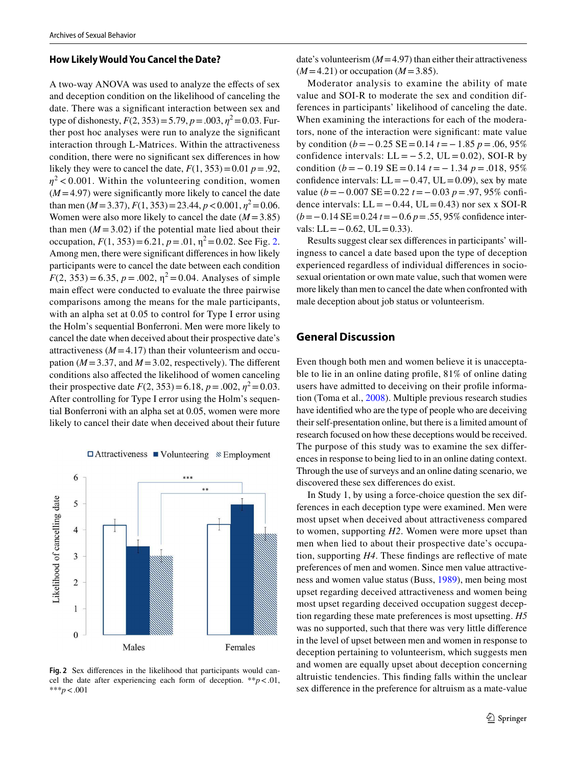#### **How Likely Would You Cancel the Date?**

A two-way ANOVA was used to analyze the effects of sex and deception condition on the likelihood of canceling the date. There was a significant interaction between sex and type of dishonesty,  $F(2, 353) = 5.79$ ,  $p = .003$ ,  $\eta^2 = 0.03$ . Further post hoc analyses were run to analyze the significant interaction through L-Matrices. Within the attractiveness condition, there were no significant sex differences in how likely they were to cancel the date,  $F(1, 353) = 0.01$   $p = .92$ ,  $\eta^2$  < 0.001. Within the volunteering condition, women  $(M=4.97)$  were significantly more likely to cancel the date than men ( $M = 3.37$ ),  $F(1, 353) = 23.44$ ,  $p < 0.001$ ,  $\eta^2 = 0.06$ . Women were also more likely to cancel the date  $(M = 3.85)$ than men  $(M = 3.02)$  if the potential mate lied about their occupation,  $F(1, 353) = 6.21$ ,  $p = .01$ ,  $\eta^2 = 0.02$ . See Fig. [2.](#page-6-0) Among men, there were significant differences in how likely participants were to cancel the date between each condition  $F(2, 353) = 6.35, p = .002, \eta^2 = 0.04$ . Analyses of simple main effect were conducted to evaluate the three pairwise comparisons among the means for the male participants, with an alpha set at 0.05 to control for Type I error using the Holm's sequential Bonferroni. Men were more likely to cancel the date when deceived about their prospective date's attractiveness  $(M=4.17)$  than their volunteerism and occupation ( $M = 3.37$ , and  $M = 3.02$ , respectively). The different conditions also affected the likelihood of women canceling their prospective date  $F(2, 353) = 6.18$ ,  $p = .002$ ,  $\eta^2 = 0.03$ . After controlling for Type I error using the Holm's sequential Bonferroni with an alpha set at 0.05, women were more likely to cancel their date when deceived about their future

 $\Box$  Attractiveness  $\Box$  Volunteering  $\&$  Employment



<span id="page-6-0"></span>**Fig. 2** Sex differences in the likelihood that participants would cancel the date after experiencing each form of deception.  $**p < .01$ , \*\*\**p* < .001

date's volunteerism  $(M=4.97)$  than either their attractiveness  $(M=4.21)$  or occupation  $(M=3.85)$ .

Moderator analysis to examine the ability of mate value and SOI-R to moderate the sex and condition differences in participants' likelihood of canceling the date. When examining the interactions for each of the moderators, none of the interaction were significant: mate value by condition  $(b = -0.25 \text{ SE} = 0.14 t = -1.85 p = .06, 95\%$ confidence intervals:  $LL = -5.2$ ,  $UL = 0.02$ ), SOI-R by condition  $(b = -0.19 \text{ SE} = 0.14 t = -1.34 p = .018, 95\%$ confidence intervals:  $LL = -0.47$ ,  $UL = 0.09$ ), sex by mate value  $(b = -0.007$  SE = 0.22  $t = -0.03$   $p = .97,95\%$  confidence intervals:  $LL = -0.44$ ,  $UL = 0.43$ ) nor sex x SOI-R (*b* = − 0.14 SE = 0.24 *t* = − 0.6 *p* = .55, 95% confidence intervals:  $LL = -0.62$ ,  $UL = 0.33$ ).

Results suggest clear sex differences in participants' willingness to cancel a date based upon the type of deception experienced regardless of individual differences in sociosexual orientation or own mate value, such that women were more likely than men to cancel the date when confronted with male deception about job status or volunteerism.

## **General Discussion**

Even though both men and women believe it is unacceptable to lie in an online dating profile, 81% of online dating users have admitted to deceiving on their profile information (Toma et al., [2008\)](#page-10-0). Multiple previous research studies have identified who are the type of people who are deceiving their self-presentation online, but there is a limited amount of research focused on how these deceptions would be received. The purpose of this study was to examine the sex differences in response to being lied to in an online dating context. Through the use of surveys and an online dating scenario, we discovered these sex differences do exist.

In Study 1, by using a force-choice question the sex differences in each deception type were examined. Men were most upset when deceived about attractiveness compared to women, supporting *H2*. Women were more upset than men when lied to about their prospective date's occupation, supporting *H4*. These findings are reflective of mate preferences of men and women. Since men value attractiveness and women value status (Buss, [1989\)](#page-9-6), men being most upset regarding deceived attractiveness and women being most upset regarding deceived occupation suggest deception regarding these mate preferences is most upsetting. *H5* was no supported, such that there was very little difference in the level of upset between men and women in response to deception pertaining to volunteerism, which suggests men and women are equally upset about deception concerning altruistic tendencies. This finding falls within the unclear sex difference in the preference for altruism as a mate-value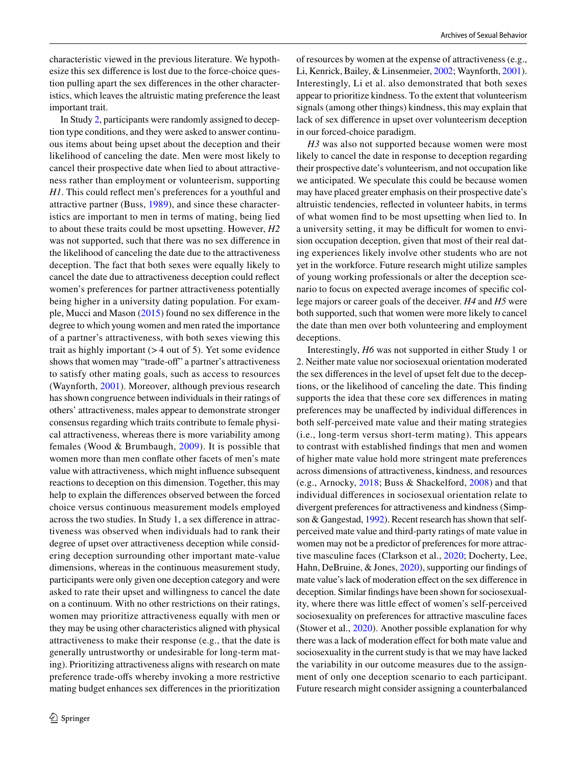characteristic viewed in the previous literature. We hypothesize this sex difference is lost due to the force-choice question pulling apart the sex differences in the other characteristics, which leaves the altruistic mating preference the least important trait.

In Study [2,](#page-4-0) participants were randomly assigned to deception type conditions, and they were asked to answer continuous items about being upset about the deception and their likelihood of canceling the date. Men were most likely to cancel their prospective date when lied to about attractiveness rather than employment or volunteerism, supporting *H1*. This could reflect men's preferences for a youthful and attractive partner (Buss, [1989\)](#page-9-6), and since these characteristics are important to men in terms of mating, being lied to about these traits could be most upsetting. However, *H2* was not supported, such that there was no sex difference in the likelihood of canceling the date due to the attractiveness deception. The fact that both sexes were equally likely to cancel the date due to attractiveness deception could reflect women's preferences for partner attractiveness potentially being higher in a university dating population. For example, Mucci and Mason ([2015\)](#page-9-27) found no sex difference in the degree to which young women and men rated the importance of a partner's attractiveness, with both sexes viewing this trait as highly important  $(> 4$  out of 5). Yet some evidence shows that women may "trade-off" a partner's attractiveness to satisfy other mating goals, such as access to resources (Waynforth, [2001](#page-10-7)). Moreover, although previous research has shown congruence between individuals in their ratings of others' attractiveness, males appear to demonstrate stronger consensus regarding which traits contribute to female physical attractiveness, whereas there is more variability among females (Wood & Brumbaugh, [2009](#page-10-8)). It is possible that women more than men conflate other facets of men's mate value with attractiveness, which might influence subsequent reactions to deception on this dimension. Together, this may help to explain the differences observed between the forced choice versus continuous measurement models employed across the two studies. In Study 1, a sex difference in attractiveness was observed when individuals had to rank their degree of upset over attractiveness deception while considering deception surrounding other important mate-value dimensions, whereas in the continuous measurement study, participants were only given one deception category and were asked to rate their upset and willingness to cancel the date on a continuum. With no other restrictions on their ratings, women may prioritize attractiveness equally with men or they may be using other characteristics aligned with physical attractiveness to make their response (e.g., that the date is generally untrustworthy or undesirable for long-term mating). Prioritizing attractiveness aligns with research on mate preference trade-offs whereby invoking a more restrictive mating budget enhances sex differences in the prioritization of resources by women at the expense of attractiveness (e.g., Li, Kenrick, Bailey, & Linsenmeier, [2002;](#page-9-28) Waynforth, [2001](#page-10-7)). Interestingly, Li et al. also demonstrated that both sexes appear to prioritize kindness. To the extent that volunteerism signals (among other things) kindness, this may explain that lack of sex difference in upset over volunteerism deception in our forced-choice paradigm.

*H3* was also not supported because women were most likely to cancel the date in response to deception regarding their prospective date's volunteerism, and not occupation like we anticipated. We speculate this could be because women may have placed greater emphasis on their prospective date's altruistic tendencies, reflected in volunteer habits, in terms of what women find to be most upsetting when lied to. In a university setting, it may be difficult for women to envision occupation deception, given that most of their real dating experiences likely involve other students who are not yet in the workforce. Future research might utilize samples of young working professionals or alter the deception scenario to focus on expected average incomes of specific college majors or career goals of the deceiver. *H4* and *H5* were both supported, such that women were more likely to cancel the date than men over both volunteering and employment deceptions.

Interestingly, *H6* was not supported in either Study 1 or 2. Neither mate value nor sociosexual orientation moderated the sex differences in the level of upset felt due to the deceptions, or the likelihood of canceling the date. This finding supports the idea that these core sex differences in mating preferences may be unaffected by individual differences in both self-perceived mate value and their mating strategies (i.e., long-term versus short-term mating). This appears to contrast with established findings that men and women of higher mate value hold more stringent mate preferences across dimensions of attractiveness, kindness, and resources (e.g., Arnocky, [2018](#page-8-1); Buss & Shackelford, [2008](#page-9-21)) and that individual differences in sociosexual orientation relate to divergent preferences for attractiveness and kindness (Simpson & Gangestad, [1992\)](#page-10-4). Recent research has shown that selfperceived mate value and third-party ratings of mate value in women may not be a predictor of preferences for more attractive masculine faces (Clarkson et al., [2020;](#page-9-29) Docherty, Lee, Hahn, DeBruine, & Jones, [2020\)](#page-9-30), supporting our findings of mate value's lack of moderation effect on the sex difference in deception. Similar findings have been shown for sociosexuality, where there was little effect of women's self-perceived sociosexuality on preferences for attractive masculine faces (Stower et al., [2020\)](#page-10-9). Another possible explanation for why there was a lack of moderation effect for both mate value and sociosexuality in the current study is that we may have lacked the variability in our outcome measures due to the assignment of only one deception scenario to each participant. Future research might consider assigning a counterbalanced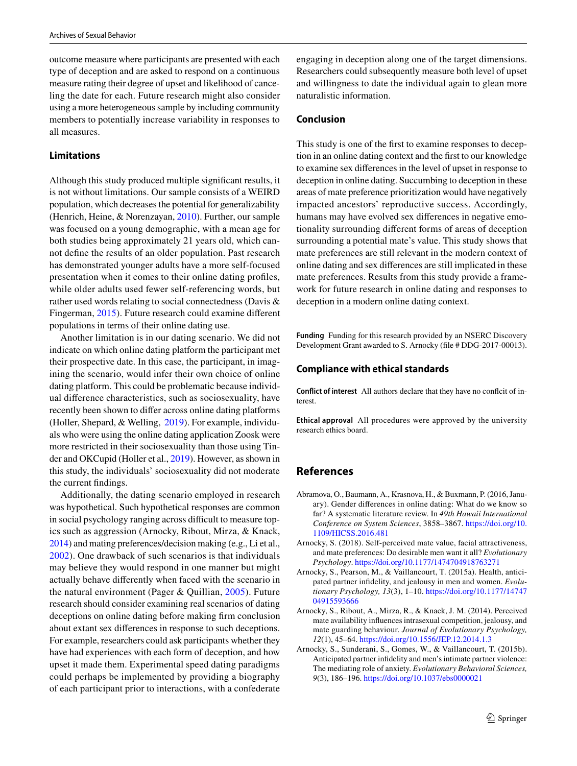outcome measure where participants are presented with each type of deception and are asked to respond on a continuous measure rating their degree of upset and likelihood of canceling the date for each. Future research might also consider using a more heterogeneous sample by including community members to potentially increase variability in responses to all measures.

#### **Limitations**

Although this study produced multiple significant results, it is not without limitations. Our sample consists of a WEIRD population, which decreases the potential for generalizability (Henrich, Heine, & Norenzayan, [2010\)](#page-9-31). Further, our sample was focused on a young demographic, with a mean age for both studies being approximately 21 years old, which cannot define the results of an older population. Past research has demonstrated younger adults have a more self-focused presentation when it comes to their online dating profiles, while older adults used fewer self-referencing words, but rather used words relating to social connectedness (Davis & Fingerman, [2015](#page-9-32)). Future research could examine different populations in terms of their online dating use.

Another limitation is in our dating scenario. We did not indicate on which online dating platform the participant met their prospective date. In this case, the participant, in imagining the scenario, would infer their own choice of online dating platform. This could be problematic because individual difference characteristics, such as sociosexuality, have recently been shown to differ across online dating platforms (Holler, Shepard, & Welling, [2019](#page-9-33)). For example, individuals who were using the online dating application Zoosk were more restricted in their sociosexuality than those using Tinder and OKCupid (Holler et al., [2019](#page-9-33)). However, as shown in this study, the individuals' sociosexuality did not moderate the current findings.

Additionally, the dating scenario employed in research was hypothetical. Such hypothetical responses are common in social psychology ranging across difficult to measure topics such as aggression (Arnocky, Ribout, Mirza, & Knack, [2014\)](#page-8-4) and mating preferences/decision making (e.g., Li et al., [2002\)](#page-9-28). One drawback of such scenarios is that individuals may believe they would respond in one manner but might actually behave differently when faced with the scenario in the natural environment (Pager & Quillian, [2005](#page-9-34)). Future research should consider examining real scenarios of dating deceptions on online dating before making firm conclusion about extant sex differences in response to such deceptions. For example, researchers could ask participants whether they have had experiences with each form of deception, and how upset it made them. Experimental speed dating paradigms could perhaps be implemented by providing a biography of each participant prior to interactions, with a confederate

engaging in deception along one of the target dimensions. Researchers could subsequently measure both level of upset and willingness to date the individual again to glean more naturalistic information.

#### **Conclusion**

This study is one of the first to examine responses to deception in an online dating context and the first to our knowledge to examine sex differences in the level of upset in response to deception in online dating. Succumbing to deception in these areas of mate preference prioritization would have negatively impacted ancestors' reproductive success. Accordingly, humans may have evolved sex differences in negative emotionality surrounding different forms of areas of deception surrounding a potential mate's value. This study shows that mate preferences are still relevant in the modern context of online dating and sex differences are still implicated in these mate preferences. Results from this study provide a framework for future research in online dating and responses to deception in a modern online dating context.

**Funding** Funding for this research provided by an NSERC Discovery Development Grant awarded to S. Arnocky (file # DDG-2017-00013).

#### **Compliance with ethical standards**

**Conflict of interest** All authors declare that they have no conflcit of interest.

**Ethical approval** All procedures were approved by the university research ethics board.

## **References**

- <span id="page-8-0"></span>Abramova, O., Baumann, A., Krasnova, H., & Buxmann, P. (2016, January). Gender differences in online dating: What do we know so far? A systematic literature review. In *49th Hawaii International Conference on System Sciences*, 3858–3867. [https:// doi. org/ 10.](https://doi.org/10.1109/HICSS.2016.481) 1109/HICSS.2016.481
- <span id="page-8-1"></span>Arnocky, S. (2018). Self-perceived mate value, facial attractiveness, and mate preferences: Do desirable men want it all? *Evolutionary Psychology*. [https:// doi. org/ 10. 1177/ 14747 04918 763271](https://doi.org/10.1177/1474704918763271)
- <span id="page-8-2"></span>Arnocky, S., Pearson, M., & Vaillancourt, T. (2015a). Health, anticipated partner infidelity, and jealousy in men and women. *Evolutionary Psychology, 13*(3), 1–10. [https:// doi. org/ 10. 1177/ 14747](https://doi.org/10.1177/1474704915593666) 04915593666
- <span id="page-8-4"></span>Arnocky, S., Ribout, A., Mirza, R., & Knack, J. M. (2014). Perceived mate availability influences intrasexual competition, jealousy, and mate guarding behaviour. *Journal of Evolutionary Psychology, 12*(1), 45–64. https://doi.org/10.1556/JEP.12.2014.1.3
- <span id="page-8-3"></span>Arnocky, S., Sunderani, S., Gomes, W., & Vaillancourt, T. (2015b). Anticipated partner infidelity and men's intimate partner violence: The mediating role of anxiety. *Evolutionary Behavioral Sciences, 9*(3), 186-196. https://doi.org/10.1037/ebs0000021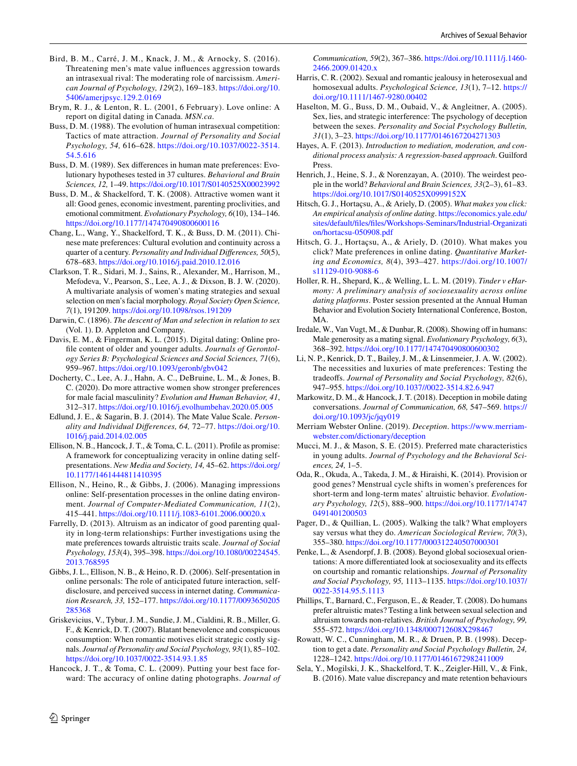- <span id="page-9-24"></span>Bird, B. M., Carré, J. M., Knack, J. M., & Arnocky, S. (2016). Threatening men's mate value influences aggression towards an intrasexual rival: The moderating role of narcissism. *American Journal of Psychology, 129*(2), 169–183. [https:// doi. org/ 10.](https://doi.org/10.5406/amerjpsyc.129.2.0169) 5406/amerjpsyc.129.2.0169
- <span id="page-9-14"></span>Brym, R. J., & Lenton, R. L. (2001, 6 February). Love online: A report on digital dating in Canada. *MSN.ca*.
- <span id="page-9-5"></span>Buss, D. M. (1988). The evolution of human intrasexual competition: Tactics of mate attraction. *Journal of Personality and Social*  Psychology, 54, 616-628. https://doi.org/10.1037/0022-3514. [54.5. 616](https://doi.org/10.1037/0022-3514.54.5.616)
- <span id="page-9-6"></span>Buss, D. M. (1989). Sex differences in human mate preferences: Evolutionary hypotheses tested in 37 cultures. *Behavioral and Brain Sciences, 12, 1-49. https://doi.org/10.1017/S0140525X00023992*
- <span id="page-9-21"></span>Buss, D. M., & Shackelford, T. K. (2008). Attractive women want it all: Good genes, economic investment, parenting proclivities, and emotional commitment. *Evolutionary Psychology, 6*(10), 134–146. https://doi.org/10.1177/147470490800600116
- <span id="page-9-7"></span>Chang, L., Wang, Y., Shackelford, T. K., & Buss, D. M. (2011). Chinese mate preferences: Cultural evolution and continuity across a quarter of a century. *Personality and Individual Differences, 50*(5), 678–683. [https:// doi. org/ 10. 1016/j. paid. 2010. 12. 016](https://doi.org/10.1016/j.paid.2010.12.016)
- <span id="page-9-29"></span>Clarkson, T. R., Sidari, M. J., Sains, R., Alexander, M., Harrison, M., Mefodeva, V., Pearson, S., Lee, A. J., & Dixson, B. J. W. (2020). A multivariate analysis of women's mating strategies and sexual selection on men's facial morphology. *Royal Society Open Science,* 7(1), 191209. https://doi.org/10.1098/rsos.191209
- <span id="page-9-4"></span>Darwin, C. (1896). *The descent of Man and selection in relation to sex* (Vol. 1). D. Appleton and Company.
- <span id="page-9-32"></span>Davis, E. M., & Fingerman, K. L. (2015). Digital dating: Online profile content of older and younger adults. *Journals of Gerontology Series B: Psychological Sciences and Social Sciences, 71*(6), 959-967. https://doi.org/10.1093/geronb/gbv042
- <span id="page-9-30"></span>Docherty, C., Lee, A. J., Hahn, A. C., DeBruine, L. M., & Jones, B. C. (2020). Do more attractive women show stronger preferences for male facial masculinity? *Evolution and Human Behavior, 41*, 312–317. https://doi.org/10.1016/j.evolhumbehav.2020.05.005
- <span id="page-9-23"></span>Edlund, J. E., & Sagarin, B. J. (2014). The Mate Value Scale. *Personality and Individual Differences, 64,* 72–77. [https:// doi. org/ 10.](https://doi.org/10.1016/j.paid.2014.02.005) [1016/j. paid. 2014. 02. 005](https://doi.org/10.1016/j.paid.2014.02.005)
- <span id="page-9-15"></span>Ellison, N. B., Hancock, J. T., & Toma, C. L. (2011). Profile as promise: A framework for conceptualizing veracity in online dating selfpresentations. *New Media and Society, 14,* 45–62. [https:// doi. org/](https://doi.org/10.1177/1461444811410395) 10. 1177/ 1461 448 114 10 395
- <span id="page-9-19"></span>Ellison, N., Heino, R., & Gibbs, J. (2006). Managing impressions online: Self-presentation processes in the online dating environment. *Journal of Computer-Mediated Communication, 11*(2), 415–441. [https:// doi. org/ 10. 1111/j. 1083- 6101. 2006. 00020.x](https://doi.org/10.1111/j.1083-6101.2006.00020.x)
- <span id="page-9-10"></span>Farrelly, D. (2013). Altruism as an indicator of good parenting quality in long-term relationships: Further investigations using the mate preferences towards altruistic traits scale. *Journal of Social Psychology, 153*(4), 395–398. https://doi.org/10.1080/00224545. [2013. 768595](https://doi.org/10.1080/00224545.2013.768595)
- <span id="page-9-3"></span>Gibbs, J. L., Ellison, N. B., & Heino, R. D. (2006). Self-presentation in online personals: The role of anticipated future interaction, selfdisclosure, and perceived success in internet dating. *Communication Research, 33,* 152–177. [https:// doi. org/ 10. 1177/ 00936 50205](https://doi.org/10.1177/0093650205285368) [285368](https://doi.org/10.1177/0093650205285368)
- <span id="page-9-18"></span>Griskevicius, V., Tybur, J. M., Sundie, J. M., Cialdini, R. B., Miller, G. F., & Kenrick, D. T. (2007). Blatant benevolence and conspicuous consumption: When romantic motives elicit strategic costly signals. *Journal of Personality and Social Psychology, 93*(1), 85–102. https://doi.org/10.1037/0022-3514.93.1.85
- <span id="page-9-17"></span>Hancock, J. T., & Toma, C. L. (2009). Putting your best face forward: The accuracy of online dating photographs. *Journal of*

*Communication, 59*(2), 367–386. [https:// doi. org/ 10. 1111/j. 1460-](https://doi.org/10.1111/j.1460-2466.2009.01420.x) [2466. 2009. 01420.x](https://doi.org/10.1111/j.1460-2466.2009.01420.x)

- <span id="page-9-26"></span>Harris, C. R. (2002). Sexual and romantic jealousy in heterosexual and homosexual adults. *Psychological Science, 13*(1), 7–12. [https://](https://doi.org/10.1111/1467-9280.00402) doi.org/10.1111/1467-9280.00402
- <span id="page-9-20"></span>Haselton, M. G., Buss, D. M., Oubaid, V., & Angleitner, A. (2005). Sex, lies, and strategic interference: The psychology of deception between the sexes. *Personality and Social Psychology Bulletin,* 31(1), 3-23. https://doi.org/10.1177/0146167204271303
- <span id="page-9-25"></span>Hayes, A. F. (2013). *Introduction to mediation, moderation, and conditional process analysis: A regression-based approach*. Guilford Press.
- <span id="page-9-31"></span>Henrich, J., Heine, S. J., & Norenzayan, A. (2010). The weirdest people in the world? *Behavioral and Brain Sciences, 33*(2–3), 61–83. https://doi.org/10.1017/S0140525X0999152X
- <span id="page-9-9"></span>Hitsch, G. J., Hortaçsu, A., & Ariely, D. (2005). *What makes you click:*  An empirical analysis of online dating. https://economics.yale.edu/ sites/default/files/files/Workshops-Seminars/Industrial-Organizati on/hortacsu-050908.pdf
- <span id="page-9-8"></span>Hitsch, G. J., Hortaçsu, A., & Ariely, D. (2010). What makes you click? Mate preferences in online dating. *Quantitative Marketing and Economics, 8*(4), 393–427. [https:// doi. org/ 10. 1007/](https://doi.org/10.1007/s11129-010-9088-6) s11129-010-9088-6
- <span id="page-9-33"></span>Holler, R. H., Shepard, K., & Welling, L. L. M. (2019). *Tinder v eHarmony: A preliminary analysis of sociosexuality across online dating platforms*. Poster session presented at the Annual Human Behavior and Evolution Society International Conference, Boston, MA.
- <span id="page-9-13"></span>Iredale, W., Van Vugt, M., & Dunbar, R. (2008). Showing off in humans: Male generosity as a mating signal. *Evolutionary Psychology, 6*(3), 368–392. [https:// doi. org/ 10. 1177/ 14747 04908 00600 302](https://doi.org/10.1177/147470490800600302)
- <span id="page-9-28"></span>Li, N. P., Kenrick, D. T., Bailey, J. M., & Linsenmeier, J. A. W. (2002). The necessities and luxuries of mate preferences: Testing the tradeoffs. *Journal of Personality and Social Psychology, 82*(6), 947–955. https://doi.org/10.1037//0022-3514.82.6.947
- <span id="page-9-16"></span>Markowitz, D. M., & Hancock, J. T. (2018). Deception in mobile dating conversations. *Journal of Communication, 68,* 547–569. [https://](https://doi.org/10.1093/jc/jqy019) doi.org/10.1093/jc/jqy019
- <span id="page-9-0"></span>Merriam Webster Online. (2019). *Deception*. https://www.merriamwebster.com/dictionary/deception
- <span id="page-9-27"></span>Mucci, M. J., & Mason, S. E. (2015). Preferred mate characteristics in young adults. *Journal of Psychology and the Behavioral Sciences, 24,* 1–5.
- <span id="page-9-11"></span>Oda, R., Okuda, A., Takeda, J. M., & Hiraishi, K. (2014). Provision or good genes? Menstrual cycle shifts in women's preferences for short-term and long-term mates' altruistic behavior. *Evolutionary Psychology, 12*(5), 888–900. [https:// doi. org/ 10. 1177/ 14747](https://doi.org/10.1177/147470491401200503) 0491401200503
- <span id="page-9-34"></span>Pager, D., & Quillian, L. (2005). Walking the talk? What employers say versus what they do. *American Sociological Review, 70*(3), 355-380. https://doi.org/10.1177/000312240507000301
- <span id="page-9-22"></span>Penke, L., & Asendorpf, J. B. (2008). Beyond global sociosexual orientations: A more differentiated look at sociosexuality and its effects on courtship and romantic relationships. *Journal of Personality and Social Psychology, 95,* 1113–1135. [https:// doi. org/ 10. 1037/](https://doi.org/10.1037/0022-3514.95.5.1113) [0022- 3514. 95.5. 1113](https://doi.org/10.1037/0022-3514.95.5.1113)
- <span id="page-9-12"></span>Phillips, T., Barnard, C., Ferguson, E., & Reader, T. (2008). Do humans prefer altruistic mates? Testing a link between sexual selection and altruism towards non-relatives. *British Journal of Psychology, 99,* 555–572. https://doi.org/10.1348/000712608X298467
- <span id="page-9-1"></span>Rowatt, W. C., Cunningham, M. R., & Druen, P. B. (1998). Deception to get a date. *Personality and Social Psychology Bulletin, 24,* 1228–1242. https://doi.org/10.1177/01461672982411009
- <span id="page-9-2"></span>Sela, Y., Mogilski, J. K., Shackelford, T. K., Zeigler-Hill, V., & Fink, B. (2016). Mate value discrepancy and mate retention behaviours